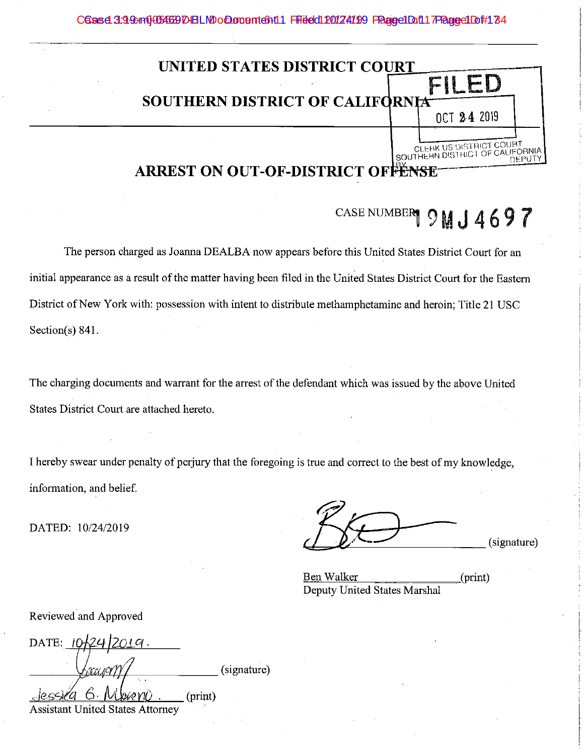

# CASE NUMBER 9MJ4697

The person charged as Joanna DEALBA now appears before this United States District Court for an initial appearance as a result of the matter having been filed in the United States District Court for the Eastern District of New York with: possession with intent to distribute methamphetamine and heroin; Title 21 USC Section(s)  $841$ .

The charging documents and warrant for the arrest of the defendant which was issued by the above United States District Court are attached hereto.

I hereby swear under penalty of perjury that the foregoing is true and correct to the best of my knowledge, information, and belief.

DATED: 10/24/2019

(signature)

Ben Walker  $(print)$ Deputy United States Marshal

Reviewed and Approved

DATE: 101 (signature) (print)

**Assistant United States Attorney**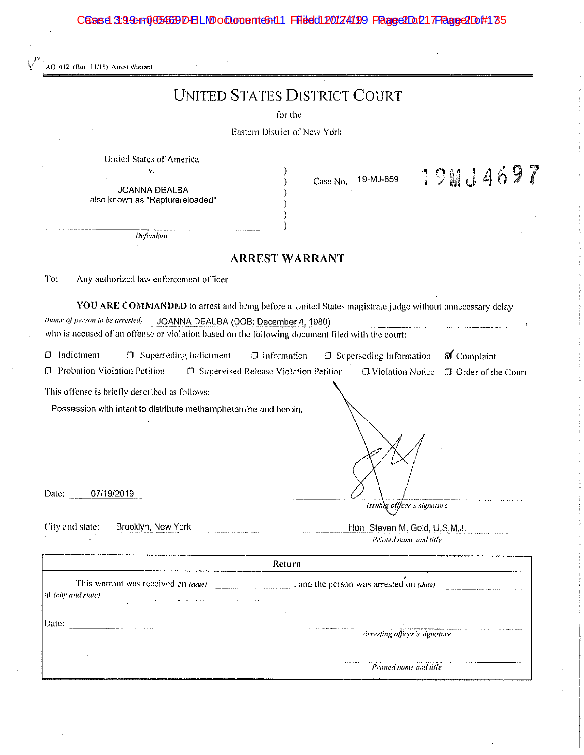Cased 3:9491105633DBLMDo Qument 6111 Filed 120174199 Page 2 DD 21 7 Page 2 DD #1 35 AO 442 (Rev. 11/11) Arrest Warrant **UNITED STATES DISTRICT COURT** for the Eastern District of New York United States of America 19MJ4697  $\mathbf{v}$ , Case No. 19-MJ-659 ) JOANNA DEALBA ١ also known as "Rapturereloaded" Defendant **ARREST WARRANT** To: Any authorized law enforcement officer YOU ARE COMMANDED to arrest and bring before a United States magistrate judge without unnecessary delay (name of person to be arrested) JOANNA DEALBA (DOB: December 4, 1980) who is accused of an offense or violation based on the following document filed with the court:  $\Box$  Indictment  $\Box$  Superseding Indictment  $\Box$  Information  $\Box$  Superseding Information  $\mathcal{D}$  Complaint **C** Probation Violation Petition □ Supervised Release Violation Petition **J** Violation Notice O Order of the Court This offense is briefly described as follows: Possession with intent to distribute methamphetamine and heroin. Date: 07/19/2019 Issung officer's signature City and state: Brooklyn, New York Hon, Steven M. Gold, U.S.M.J. Printed name and title Return and the person was arrested on (date) This warrant was received on *(date)* at (city and state) د.<br>المستحدة المراجع Date: Arresting officer's signature Printed name and title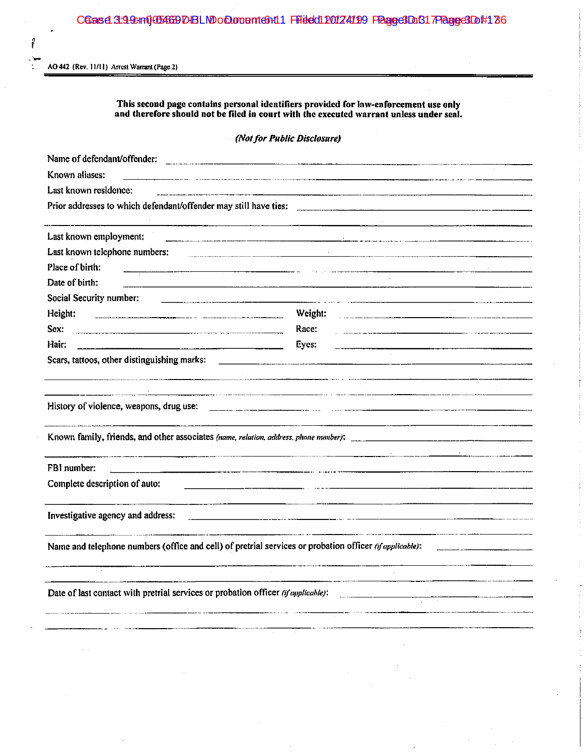### Cased 399cm0056639DHLMDoCumente6+11 Firedc120174199 Fagge3Dof317Fagge3Dof4136

AO 442 (Rev. 11/11) Arrest Warrant (Page 2)

î

 $\ddot{\cdot}$ 

This second page contains personal identifiers provided for law-enforcement use only and therefore should not be filed in court with the executed warrant unless under seal.

(Not for Public Disclosure)

| Name of defendant/offender:                                                                                                            |                                                                                                                                                                                                                                                 |  |  |  |  |  |
|----------------------------------------------------------------------------------------------------------------------------------------|-------------------------------------------------------------------------------------------------------------------------------------------------------------------------------------------------------------------------------------------------|--|--|--|--|--|
| Known aliases:                                                                                                                         |                                                                                                                                                                                                                                                 |  |  |  |  |  |
| Last known residence:                                                                                                                  |                                                                                                                                                                                                                                                 |  |  |  |  |  |
|                                                                                                                                        |                                                                                                                                                                                                                                                 |  |  |  |  |  |
| Last known employment:                                                                                                                 |                                                                                                                                                                                                                                                 |  |  |  |  |  |
| Last known telephone numbers:                                                                                                          |                                                                                                                                                                                                                                                 |  |  |  |  |  |
| Place of birth:<br>.<br>Na masa ka masa na masa na masa na masa na masa na masa na masa na masa na masa na masa na masa na masa na mas |                                                                                                                                                                                                                                                 |  |  |  |  |  |
| Date of birth:                                                                                                                         |                                                                                                                                                                                                                                                 |  |  |  |  |  |
| Social Security number:                                                                                                                |                                                                                                                                                                                                                                                 |  |  |  |  |  |
| Height:                                                                                                                                | Weight:<br><u> 1989 - Johann John Harrison, martin John Harrison, martin John Harrison, martin John Harrison, martin John Harrison, martin John Harrison, martin John Harrison, martin John Harrison, martin John Harrison, martin John Har</u> |  |  |  |  |  |
| Sex:                                                                                                                                   | Race:<br>_______________________                                                                                                                                                                                                                |  |  |  |  |  |
| Hair:                                                                                                                                  | Eyes:                                                                                                                                                                                                                                           |  |  |  |  |  |
| Scars, tattoos, other distinguishing marks:                                                                                            |                                                                                                                                                                                                                                                 |  |  |  |  |  |
| History of violence, weapons, drug use:                                                                                                |                                                                                                                                                                                                                                                 |  |  |  |  |  |
| Known family, friends, and other associates (name, relation, address, phone munber); _________________________                         |                                                                                                                                                                                                                                                 |  |  |  |  |  |
| FBI number:                                                                                                                            | <u> 1980 - Andrew Marie Barnett, amerikansk fotograf (d. 1980)</u>                                                                                                                                                                              |  |  |  |  |  |
| Complete description of auto:                                                                                                          |                                                                                                                                                                                                                                                 |  |  |  |  |  |
| Investigative agency and address:                                                                                                      |                                                                                                                                                                                                                                                 |  |  |  |  |  |
| Name and telephone numbers (office and cell) of pretrial services or probation officer (if applicable):                                |                                                                                                                                                                                                                                                 |  |  |  |  |  |
|                                                                                                                                        |                                                                                                                                                                                                                                                 |  |  |  |  |  |
| Date of last contact with pretrial services or probation officer (if applicable):                                                      |                                                                                                                                                                                                                                                 |  |  |  |  |  |
|                                                                                                                                        |                                                                                                                                                                                                                                                 |  |  |  |  |  |
|                                                                                                                                        |                                                                                                                                                                                                                                                 |  |  |  |  |  |
|                                                                                                                                        |                                                                                                                                                                                                                                                 |  |  |  |  |  |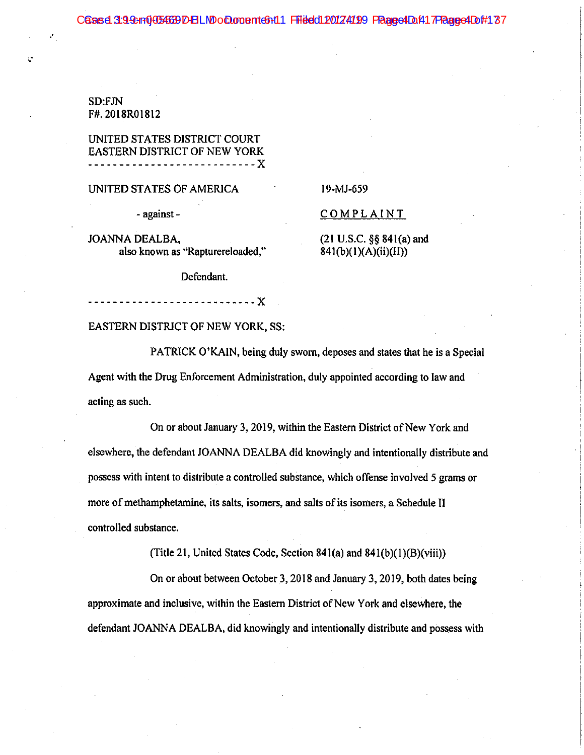Cased 39991005633DBLMDo Quodent 66111 Filedd120174199 Fagge4D0417Fagge4D0#137

SD:FJN F#.2018R01812

## UNITED STATES DISTRICT COURT **EASTERN DISTRICT OF NEW YORK**

UNITED STATES OF AMERICA

- against -

JOANNA DEALBA, also known as "Rapturereloaded," 19-MJ-659

**COMPLAINT** 

 $(21 U.S.C. § § 841(a) and$  $841(b)(1)(A)(ii)(II))$ 

Defendant.

----------- X

EASTERN DISTRICT OF NEW YORK, SS:

PATRICK O'KAIN, being duly sworn, deposes and states that he is a Special Agent with the Drug Enforcement Administration, duly appointed according to law and acting as such.

On or about January 3, 2019, within the Eastern District of New York and elsewhere, the defendant JOANNA DEALBA did knowingly and intentionally distribute and possess with intent to distribute a controlled substance, which offense involved 5 grams or more of methamphetamine, its salts, isomers, and salts of its isomers, a Schedule II controlled substance.

(Title 21, United States Code, Section 841(a) and  $841(b)(1)(B)(viii)$ 

On or about between October 3, 2018 and January 3, 2019, both dates being approximate and inclusive, within the Eastern District of New York and elsewhere, the defendant JOANNA DEALBA, did knowingly and intentionally distribute and possess with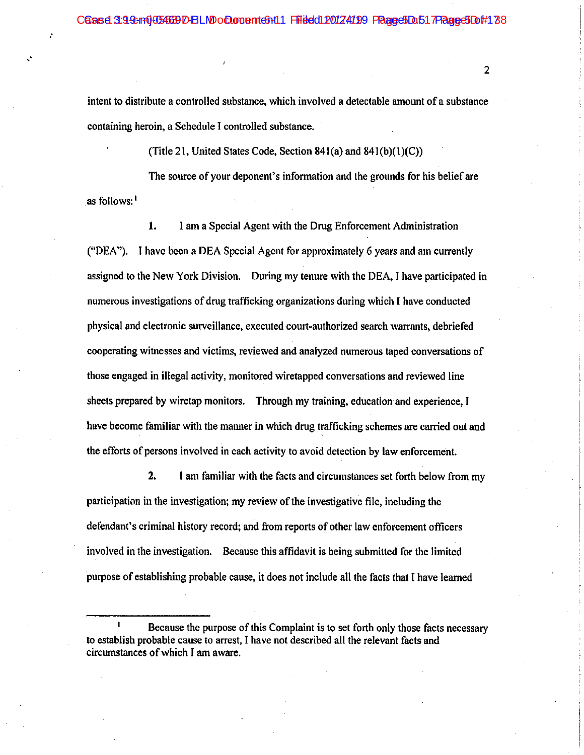intent to distribute a controlled substance, which involved a detectable amount of a substance containing heroin, a Schedule I controlled substance.

(Title 21, United States Code, Section  $841(a)$  and  $841(b)(1)(C)$ )

The source of your deponent's information and the grounds for his belief are as follows:<sup>1</sup>

1. I am a Special Agent with the Drug Enforcement Administration ("DEA"). I have been a DEA Special Agent for approximately 6 years and am currently assigned to the New York Division. During my tenure with the DEA, I have participated in numerous investigations of drug trafficking organizations during which I have conducted physical and electronic surveillance, executed court-authorized search warrants, debriefed cooperating witnesses and victims, reviewed and analyzed numerous taped conversations of those engaged in illegal activity, monitored wiretapped conversations and reviewed line sheets prepared by wiretap monitors. Through my training, education and experience, I have become familiar with the manner in which drug trafficking schemes are carried out and the efforts of persons involved in each activity to avoid detection by law enforcement.

 $2.$ I am familiar with the facts and circumstances set forth below from my participation in the investigation; my review of the investigative file, including the defendant's criminal history record; and from reports of other law enforcement officers involved in the investigation. Because this affidavit is being submitted for the limited purpose of establishing probable cause, it does not include all the facts that I have learned

Because the purpose of this Complaint is to set forth only those facts necessary to establish probable cause to arrest, I have not described all the relevant facts and circumstances of which I am aware.

 $\overline{2}$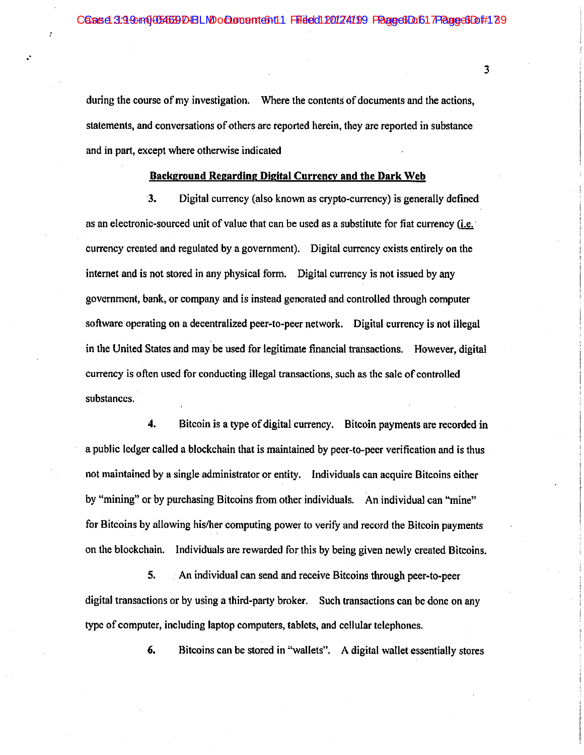during the course of my investigation. Where the contents of documents and the actions, statements, and conversations of others are reported herein, they are reported in substance and in part, except where otherwise indicated

#### Background Regarding Digital Currency and the Dark Web

3. Digital currency (also known as crypto-currency) is generally defined as an electronic-sourced unit of value that can be used as a substitute for fiat currency  $(i.e. )$ currency created and regulated by a government). Digital currency exists entirely on the internet and is not stored in any physical form. Digital currency is not issued by any government, bank, or company and is instead generated and controlled through computer software operating on a decentralized peer-to-peer network. Digital currency is not illegal in the United States and may be used for legitimate financial transactions. However, digital currency is often used for conducting illegal transactions, such as the sale of controlled substances.

4. Bitcoin is a type of digital currency. Bitcoin payments are recorded in a public ledger called a blockchain that is maintained by peer-to-peer verification and is thus not maintained by a single administrator or entity. Individuals can acquire Bitcoins either by "mining" or by purchasing Bitcoins from other individuals. An individual can "mine" for Bitcoins by allowing his/her computing power to verify and record the Bitcoin payments on the blockchain. Individuals are rewarded for this by being given newly created Bitcoins.

5. An individual can send and receive Bitcoins through peer-to-peer digital transactions or by using a third-party broker. Such transactions can be done on any type of computer, including laptop computers, tablets, and cellular telephones.

> 6. Bitcoins can be stored in "wallets". A digital wallet essentially stores

 $\overline{3}$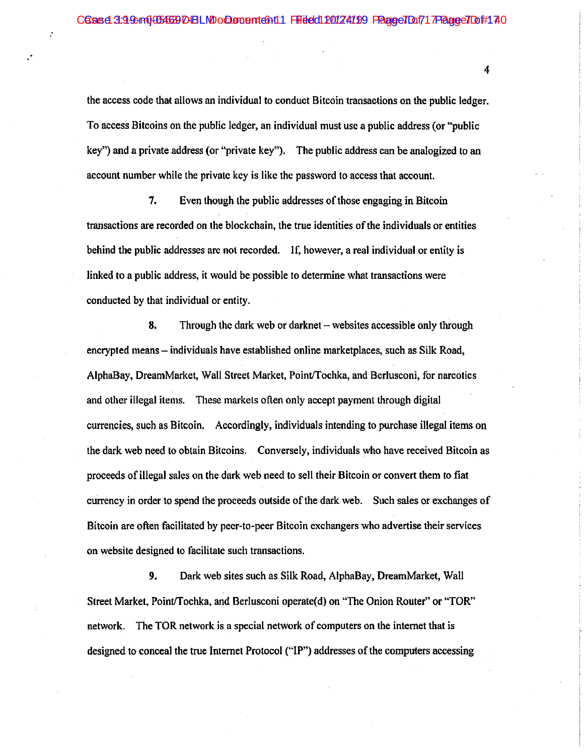the access code that allows an individual to conduct Bitcoin transactions on the public ledger. To access Bitcoins on the public ledger, an individual must use a public address (or "public" key") and a private address (or "private key"). The public address can be analogized to an account number while the private key is like the password to access that account.

7. Even though the public addresses of those engaging in Bitcoin transactions are recorded on the blockchain, the true identities of the individuals or entities behind the public addresses are not recorded. If, however, a real individual or entity is linked to a public address, it would be possible to determine what transactions were conducted by that individual or entity.

8. Through the dark web or darknet  $-$  websites accessible only through encrypted means – individuals have established online marketplaces, such as Silk Road, AlphaBay, DreamMarket, Wall Street Market, Point/Tochka, and Berlusconi, for narcotics and other illegal items. These markets often only accept payment through digital currencies, such as Bitcoin. Accordingly, individuals intending to purchase illegal items on the dark web need to obtain Bitcoins. Conversely, individuals who have received Bitcoin as proceeds of illegal sales on the dark web need to sell their Bitcoin or convert them to fiat currency in order to spend the proceeds outside of the dark web. Such sales or exchanges of Bitcoin are often facilitated by peer-to-peer Bitcoin exchangers who advertise their services on website designed to facilitate such transactions.

9. Dark web sites such as Silk Road, AlphaBay, DreamMarket, Wall Street Market, Point/Tochka, and Berlusconi operate(d) on "The Onion Router" or "TOR" network. The TOR network is a special network of computers on the internet that is designed to conceal the true Internet Protocol ("IP") addresses of the computers accessing

 $\overline{4}$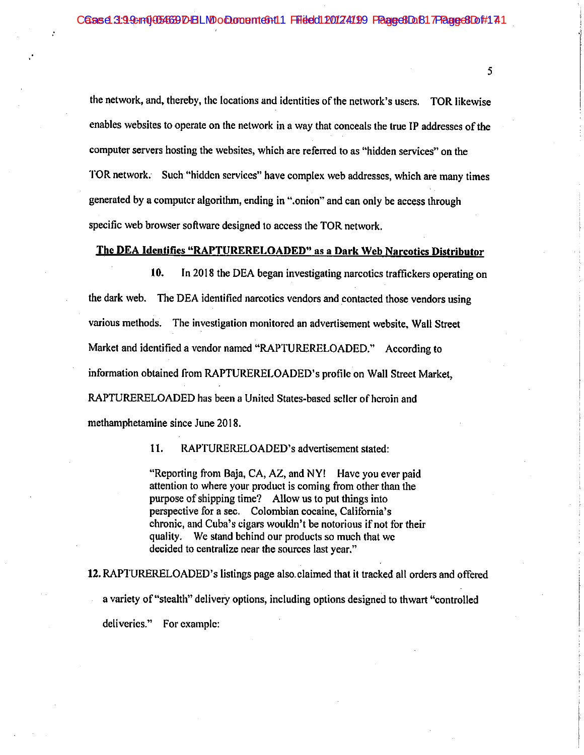the network, and, thereby, the locations and identities of the network's users. TOR likewise enables websites to operate on the network in a way that conceals the true IP addresses of the computer servers hosting the websites, which are referred to as "hidden services" on the TOR network. Such "hidden services" have complex web addresses, which are many times generated by a computer algorithm, ending in ".onion" and can only be access through specific web browser software designed to access the TOR network.

#### The DEA Identifies "RAPTURERELOADED" as a Dark Web Narcotics Distributor

10. In 2018 the DEA began investigating narcotics traffickers operating on the dark web. The DEA identified narcotics vendors and contacted those vendors using various methods. The investigation monitored an advertisement website, Wall Street Market and identified a vendor named "RAPTURERELOADED." According to information obtained from RAPTURERELOADED's profile on Wall Street Market, RAPTURERELOADED has been a United States-based seller of heroin and methamphetamine since June 2018.

> 11. RAPTURERELOADED's advertisement stated:

"Reporting from Baja, CA, AZ, and NY! Have you ever paid attention to where your product is coming from other than the purpose of shipping time? Allow us to put things into perspective for a sec. Colombian cocaine, California's chronic, and Cuba's cigars wouldn't be notorious if not for their quality. We stand behind our products so much that we decided to centralize near the sources last year."

12. RAPTURERELOADED's listings page also claimed that it tracked all orders and offered a variety of "stealth" delivery options, including options designed to thwart "controlled" deliveries." For example: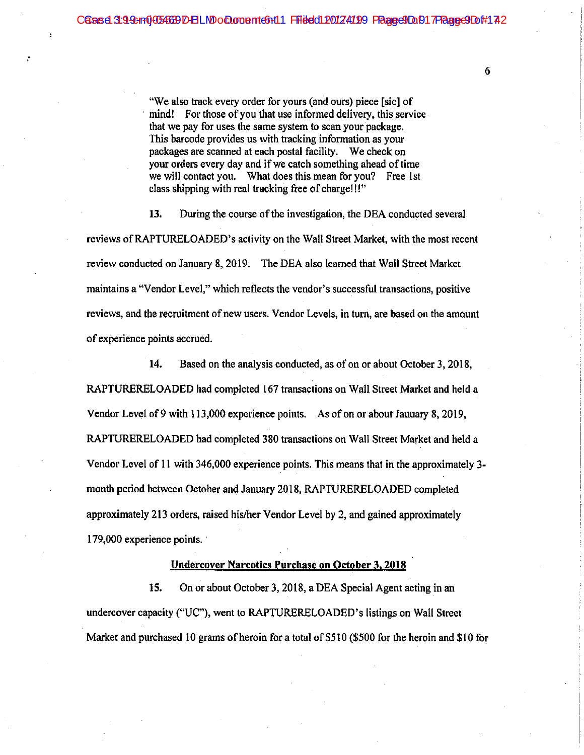"We also track every order for yours (and ours) piece [sic] of mind! For those of you that use informed delivery, this service that we pay for uses the same system to scan your package. This barcode provides us with tracking information as your packages are scanned at each postal facility. We check on your orders every day and if we catch something ahead of time we will contact you. What does this mean for you? Free 1st class shipping with real tracking free of charge!!!"

13. During the course of the investigation, the DEA conducted several reviews of RAPTURELOADED's activity on the Wall Street Market, with the most recent review conducted on January 8, 2019. The DEA also learned that Wall Street Market maintains a "Vendor Level," which reflects the vendor's successful transactions, positive reviews, and the recruitment of new users. Vendor Levels, in turn, are based on the amount of experience points accrued.

14. Based on the analysis conducted, as of on or about October 3, 2018, RAPTURERELOADED had completed 167 transactions on Wall Street Market and held a Vendor Level of 9 with 113,000 experience points. As of on or about January 8, 2019, RAPTURERELOADED had completed 380 transactions on Wall Street Market and held a Vendor Level of 11 with 346,000 experience points. This means that in the approximately 3month period between October and January 2018, RAPTURERELOADED completed approximately 213 orders, raised his/her Vendor Level by 2, and gained approximately 179,000 experience points.

#### **Undercover Narcotics Purchase on October 3, 2018**

15. On or about October 3, 2018, a DEA Special Agent acting in an undercover capacity ("UC"), went to RAPTURERELOADED's listings on Wall Street Market and purchased 10 grams of heroin for a total of \$510 (\$500 for the heroin and \$10 for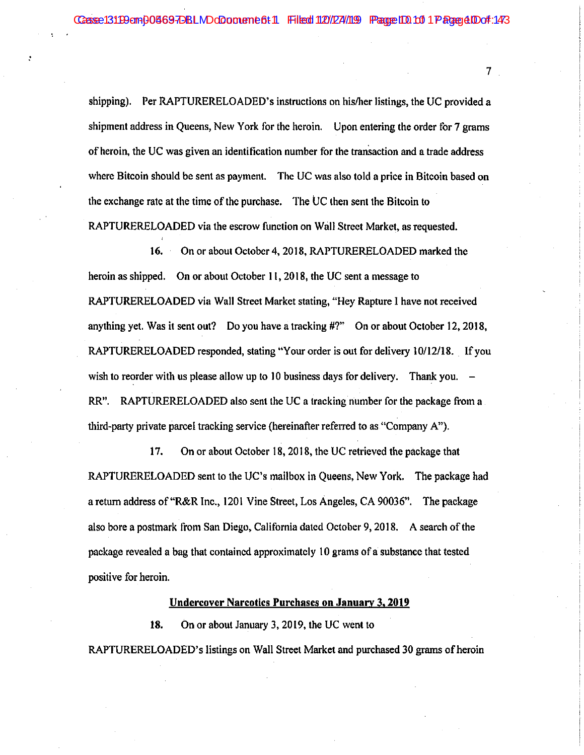shipping). Per RAPTURERELOADED's instructions on his/her listings, the UC provided a shipment address in Queens, New York for the heroin. Upon entering the order for 7 grams of heroin, the UC was given an identification number for the transaction and a trade address where Bitcoin should be sent as payment. The UC was also told a price in Bitcoin based on the exchange rate at the time of the purchase. The UC then sent the Bitcoin to RAPTURERELOADED via the escrow function on Wall Street Market, as requested.

On or about October 4, 2018, RAPTURERELOADED marked the  $16.$ heroin as shipped. On or about October 11, 2018, the UC sent a message to RAPTURERELOADED via Wall Street Market stating, "Hey Rapture I have not received anything yet. Was it sent out? Do you have a tracking #?" On or about October 12, 2018, RAPTURERELOADED responded, stating "Your order is out for delivery 10/12/18. If you wish to reorder with us please allow up to 10 business days for delivery. Thank you.  $-$ RR". RAPTURERELOADED also sent the UC a tracking number for the package from a third-party private parcel tracking service (hereinafter referred to as "Company A").

On or about October 18, 2018, the UC retrieved the package that 17. RAPTURERELOADED sent to the UC's mailbox in Queens, New York. The package had a return address of "R&R Inc., 1201 Vine Street, Los Angeles, CA 90036". The package also bore a postmark from San Diego, California dated October 9, 2018. A search of the package revealed a bag that contained approximately 10 grams of a substance that tested positive for heroin.

#### **Undercover Narcotics Purchases on January 3, 2019**

18. On or about January 3, 2019, the UC went to

RAPTURERELOADED's listings on Wall Street Market and purchased 30 grams of heroin

 $7<sup>1</sup>$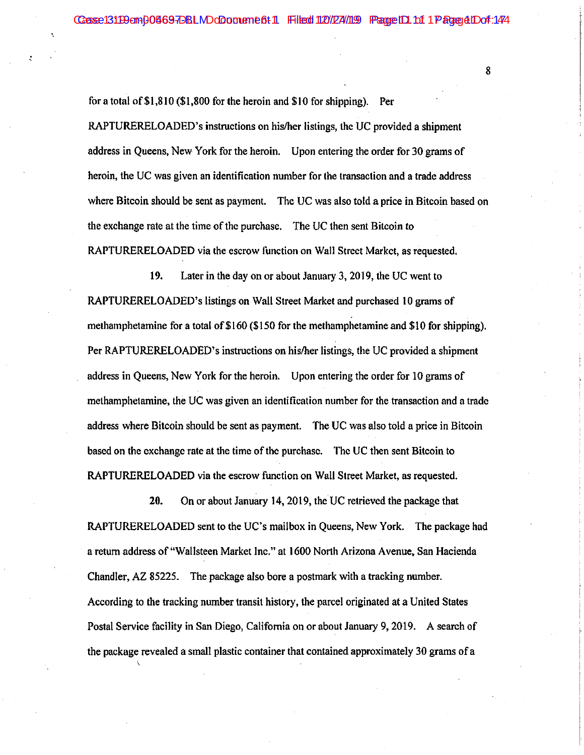for a total of  $$1,810$  (\$1,800 for the heroin and \$10 for shipping). Per RAPTURERELOADED's instructions on his/her listings, the UC provided a shipment address in Queens, New York for the heroin. Upon entering the order for 30 grams of heroin, the UC was given an identification number for the transaction and a trade address where Bitcoin should be sent as payment. The UC was also told a price in Bitcoin based on the exchange rate at the time of the purchase. The UC then sent Bitcoin to RAPTURERELOADED via the escrow function on Wall Street Market, as requested.

19. Later in the day on or about January 3, 2019, the UC went to RAPTURERELOADED's listings on Wall Street Market and purchased 10 grams of methamphetamine for a total of \$160 (\$150 for the methamphetamine and \$10 for shipping). Per RAPTURERELOADED's instructions on his/her listings, the UC provided a shipment address in Queens, New York for the heroin. Upon entering the order for 10 grams of methamphetamine, the UC was given an identification number for the transaction and a trade address where Bitcoin should be sent as payment. The UC was also told a price in Bitcoin based on the exchange rate at the time of the purchase. The UC then sent Bitcoin to RAPTURERELOADED via the escrow function on Wall Street Market, as requested.

20. On or about January 14, 2019, the UC retrieved the package that RAPTURERELOADED sent to the UC's mailbox in Queens, New York. The package had a return address of "Wallsteen Market Inc." at 1600 North Arizona Avenue, San Hacienda Chandler, AZ 85225. The package also bore a postmark with a tracking number. According to the tracking number transit history, the parcel originated at a United States Postal Service facility in San Diego, California on or about January 9, 2019. A search of the package revealed a small plastic container that contained approximately 30 grams of a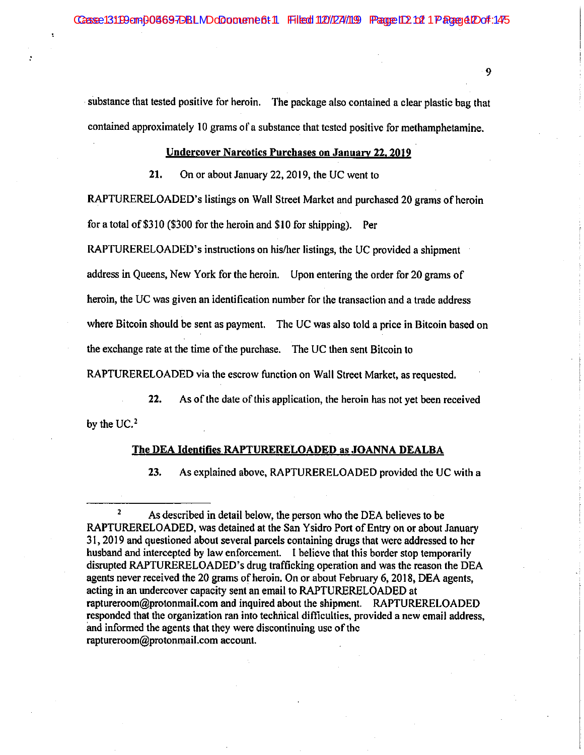substance that tested positive for heroin. The package also contained a clear plastic bag that contained approximately 10 grams of a substance that tested positive for methamphetamine.

#### **Undercover Narcotics Purchases on January 22, 2019**

21. On or about January 22, 2019, the UC went to

RAPTURERELOADED's listings on Wall Street Market and purchased 20 grams of heroin for a total of \$310 (\$300 for the heroin and \$10 for shipping). Per

RAPTURERELOADED's instructions on his/her listings, the UC provided a shipment address in Queens, New York for the heroin. Upon entering the order for 20 grams of heroin, the UC was given an identification number for the transaction and a trade address where Bitcoin should be sent as payment. The UC was also told a price in Bitcoin based on the exchange rate at the time of the purchase. The UC then sent Bitcoin to

RAPTURERELOADED via the escrow function on Wall Street Market, as requested.

22. As of the date of this application, the heroin has not yet been received by the  $UC.^2$ 

#### The DEA Identifies RAPTURERELOADED as JOANNA DEALBA

23. As explained above, RAPTURERELOADED provided the UC with a

 $\mathbf{2}$ As described in detail below, the person who the DEA believes to be RAPTURERELOADED, was detained at the San Ysidro Port of Entry on or about January 31, 2019 and questioned about several parcels containing drugs that were addressed to her husband and intercepted by law enforcement. I believe that this border stop temporarily disrupted RAPTURERELOADED's drug trafficking operation and was the reason the DEA agents never received the 20 grams of heroin. On or about February 6, 2018, DEA agents, acting in an undercover capacity sent an email to RAPTURERELOADED at raptureroom@protonmail.com and inquired about the shipment. RAPTURERELOADED responded that the organization ran into technical difficulties, provided a new email address, and informed the agents that they were discontinuing use of the raptureroom@protonmail.com account.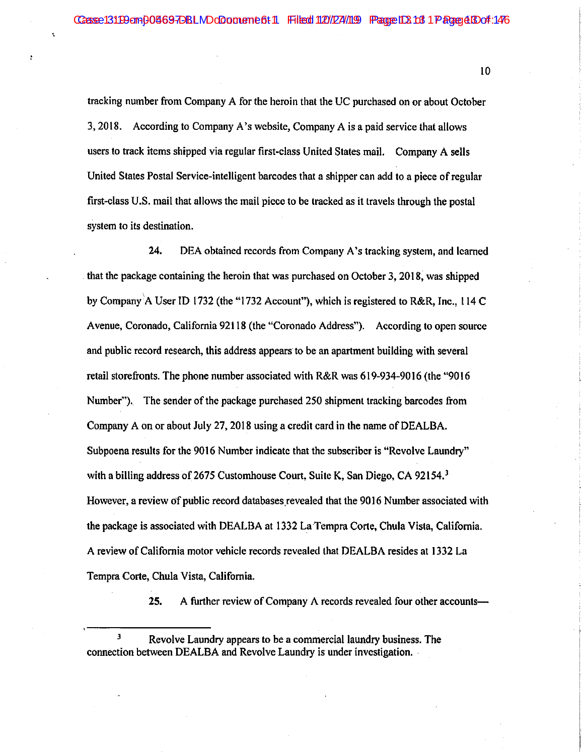tracking number from Company A for the heroin that the UC purchased on or about October 3, 2018. According to Company A's website, Company A is a paid service that allows users to track items shipped via regular first-class United States mail. Company A sells United States Postal Service-intelligent barcodes that a shipper can add to a piece of regular first-class U.S. mail that allows the mail piece to be tracked as it travels through the postal system to its destination.

24. DEA obtained records from Company A's tracking system, and learned that the package containing the heroin that was purchased on October 3, 2018, was shipped by Company A User ID 1732 (the "1732 Account"), which is registered to R&R, Inc., 114 C Avenue, Coronado, California 92118 (the "Coronado Address"). According to open source and public record research, this address appears to be an apartment building with several retail storefronts. The phone number associated with R&R was 619-934-9016 (the "9016" Number"). The sender of the package purchased 250 shipment tracking barcodes from Company A on or about July 27, 2018 using a credit card in the name of DEALBA. Subpoena results for the 9016 Number indicate that the subscriber is "Revolve Laundry" with a billing address of 2675 Customhouse Court, Suite K, San Diego, CA 92154.<sup>3</sup> However, a review of public record databases revealed that the 9016 Number associated with the package is associated with DEALBA at 1332 La Tempra Corte, Chula Vista, California. A review of California motor vehicle records revealed that DEALBA resides at 1332 La Tempra Corte, Chula Vista, California.

> 25. A further review of Company A records revealed four other accounts—

 $\mathbf{3}$ Revolve Laundry appears to be a commercial laundry business. The connection between DEALBA and Revolve Laundry is under investigation.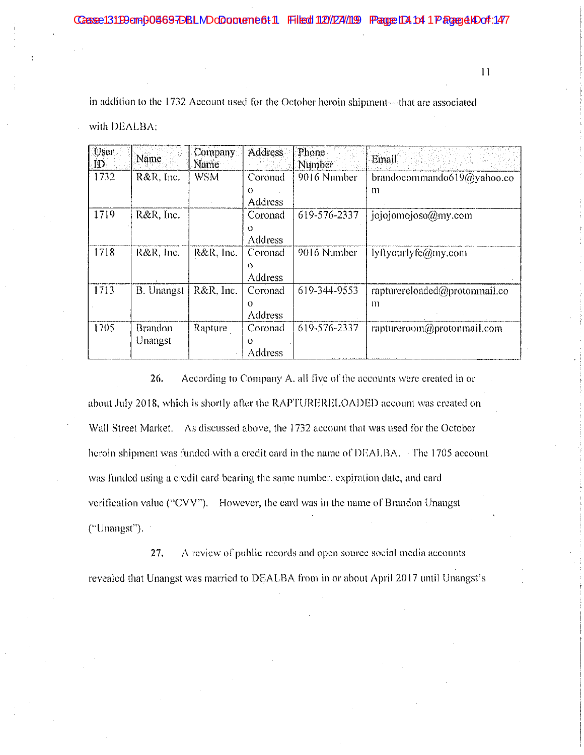in addition to the 1732 Account used for the October heroin shipment—that are associated

with DEALBA:

| User<br>ID | Name              | Company<br><b>Name</b> | Address        | Phone<br>Number | <b>Email</b>                  |
|------------|-------------------|------------------------|----------------|-----------------|-------------------------------|
| 1732       | R&R. Inc.         | <b>WSM</b>             | Coronad        | 9016 Number     | brandocommando619@yahoo.co    |
|            |                   |                        | O.             |                 | $\mathbf{m}$                  |
|            |                   |                        | Address        |                 |                               |
| 1719       | R&R Inc.          |                        | Coronad        | 619-576-2337    | jojojomojoso@my.com           |
|            |                   |                        | $\Omega$       |                 |                               |
|            |                   |                        | <b>Address</b> |                 |                               |
| 1718       | R&R, Inc.         | R&R, Inc.              | Coronad        | 9016 Number     | lyftyourlyfe@my.com           |
|            |                   |                        | $\Omega$       |                 |                               |
|            |                   |                        | Address        |                 |                               |
| 1713       | <b>B.</b> Unangst | R&R, Inc.              | Coronad        | 619-344-9553    | rapturereloaded@protonmail.co |
|            |                   |                        | $\Omega$       |                 | m                             |
|            |                   |                        | Address        |                 |                               |
| 1705       | <b>Brandon</b>    | Rapture                | Coronad        | 619-576-2337    | raptureroom@protonmail.com    |
|            | Unangst           |                        | $\Omega$       |                 |                               |
|            |                   |                        | <b>Address</b> |                 |                               |

26. According to Company A, all five of the accounts were created in or about July 2018, which is shortly after the RAPTURERELOADED account was created on Wall Street Market. As discussed above, the 1732 account that was used for the October heroin shipment was funded with a credit card in the name of DEALBA. The 1705 account was funded using a credit card bearing the same number, expiration date, and card verification value ("CVV"). However, the card was in the name of Brandon Unangst ("Unangst").

27. A review of public records and open source social media accounts revealed that Unangst was married to DEALBA from in or about April 2017 until Unangst's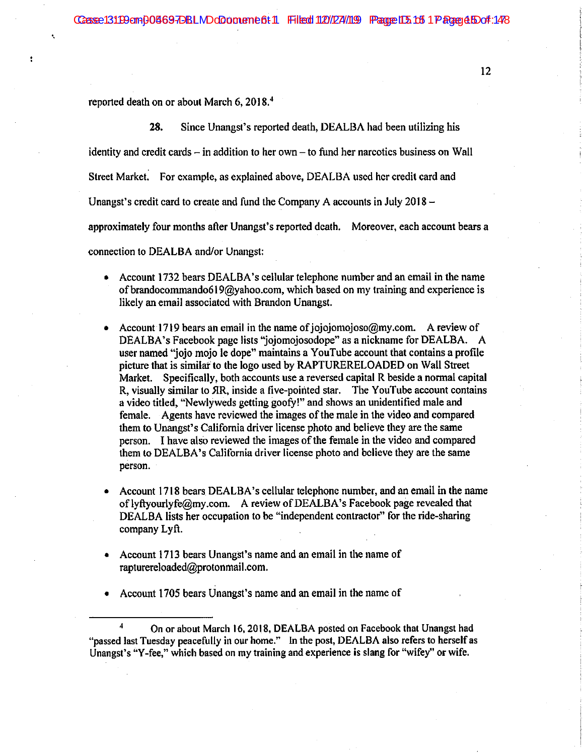CCassee 13199 em 00869 7D BLIND aDopment 6t 11 Filled 1121/124/1199 France 105 105 1 P & Tare 4 ED of :1478

reported death on or about March 6, 2018.<sup>4</sup>

28. Since Unangst's reported death, DEALBA had been utilizing his

identity and credit cards  $-$  in addition to her own  $-$  to fund her narcotics business on Wall

Street Market. For example, as explained above, DEALBA used her credit card and

Unangst's credit card to create and fund the Company A accounts in July  $2018 -$ 

approximately four months after Unangst's reported death. Moreover, each account bears a

connection to DEALBA and/or Unangst:

- Account 1732 bears DEALBA's cellular telephone number and an email in the name of brandocommando619@yahoo.com, which based on my training and experience is likely an email associated with Brandon Unangst.
- Account 1719 bears an email in the name of jojojomojoso@my.com. A review of DEALBA's Facebook page lists "jojomojosodope" as a nickname for DEALBA. A user named "jojo mojo le dope" maintains a YouTube account that contains a profile picture that is similar to the logo used by RAPTURERELOADED on Wall Street Market. Specifically, both accounts use a reversed capital R beside a normal capital R, visually similar to AR, inside a five-pointed star. The YouTube account contains a video titled, "Newlyweds getting goofy!" and shows an unidentified male and female. Agents have reviewed the images of the male in the video and compared them to Unangst's California driver license photo and believe they are the same person. I have also reviewed the images of the female in the video and compared them to DEALBA's California driver license photo and believe they are the same person.
- Account 1718 bears DEALBA's cellular telephone number, and an email in the name of lyftyourlyfe@my.com. A review of DEALBA's Facebook page revealed that DEALBA lists her occupation to be "independent contractor" for the ride-sharing company Lyft.
- Account 1713 bears Unangst's name and an email in the name of rapturereloaded@protonmail.com.
- Account 1705 bears Unangst's name and an email in the name of

On or about March 16, 2018, DEALBA posted on Facebook that Unangst had "passed last Tuesday peacefully in our home." In the post, DEALBA also refers to herself as Unangst's "Y-fee," which based on my training and experience is slang for "wifey" or wife.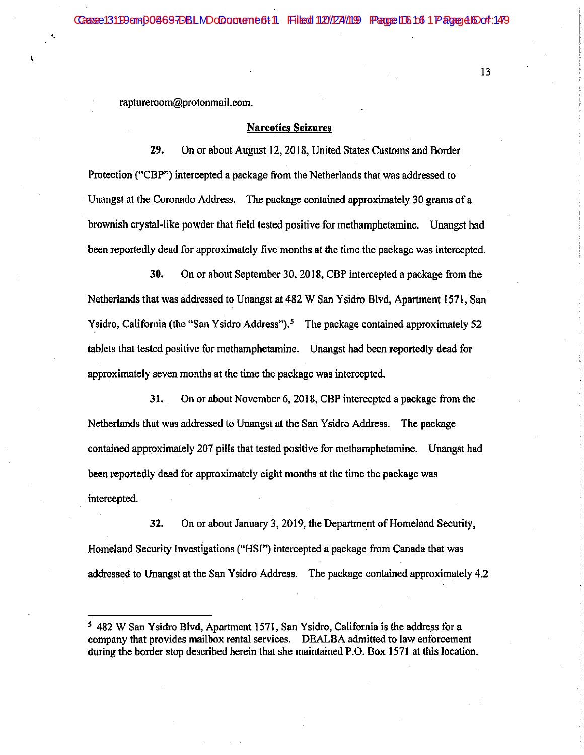raptureroom@protonmail.com.

#### **Narcotics Seizures**

29. On or about August 12, 2018, United States Customs and Border Protection ("CBP") intercepted a package from the Netherlands that was addressed to Unangst at the Coronado Address. The package contained approximately 30 grams of a brownish crystal-like powder that field tested positive for methamphetamine. Unangst had been reportedly dead for approximately five months at the time the package was intercepted.

30. On or about September 30, 2018, CBP intercepted a package from the Netherlands that was addressed to Unangst at 482 W San Ysidro Blvd, Apartment 1571, San Ysidro, California (the "San Ysidro Address").<sup>5</sup> The package contained approximately 52 tablets that tested positive for methamphetamine. Unangst had been reportedly dead for approximately seven months at the time the package was intercepted.

On or about November 6, 2018, CBP intercepted a package from the 31. Netherlands that was addressed to Unangst at the San Ysidro Address. The package contained approximately 207 pills that tested positive for methamphetamine. Unangst had been reportedly dead for approximately eight months at the time the package was intercepted.

32. On or about January 3, 2019, the Department of Homeland Security, Homeland Security Investigations ("HSI") intercepted a package from Canada that was addressed to Unangst at the San Ysidro Address. The package contained approximately 4.2

<sup>5</sup> 482 W San Ysidro Blvd, Apartment 1571, San Ysidro, California is the address for a company that provides mailbox rental services. DEALBA admitted to law enforcement during the border stop described herein that she maintained P.O. Box 1571 at this location.